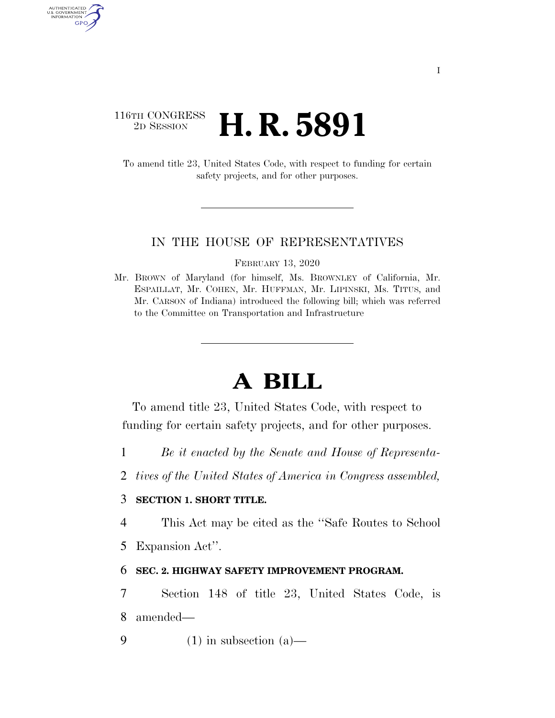# 116TH CONGRESS <sup>2D SESSION</sup> **H. R. 5891**

AUTHENTICATED U.S. GOVERNMENT GPO

> To amend title 23, United States Code, with respect to funding for certain safety projects, and for other purposes.

#### IN THE HOUSE OF REPRESENTATIVES

FEBRUARY 13, 2020

Mr. BROWN of Maryland (for himself, Ms. BROWNLEY of California, Mr. ESPAILLAT, Mr. COHEN, Mr. HUFFMAN, Mr. LIPINSKI, Ms. TITUS, and Mr. CARSON of Indiana) introduced the following bill; which was referred to the Committee on Transportation and Infrastructure

# **A BILL**

To amend title 23, United States Code, with respect to funding for certain safety projects, and for other purposes.

- 1 *Be it enacted by the Senate and House of Representa-*
- 2 *tives of the United States of America in Congress assembled,*

# 3 **SECTION 1. SHORT TITLE.**

4 This Act may be cited as the ''Safe Routes to School

5 Expansion Act''.

### 6 **SEC. 2. HIGHWAY SAFETY IMPROVEMENT PROGRAM.**

7 Section 148 of title 23, United States Code, is

8 amended—

9 (1) in subsection  $(a)$ —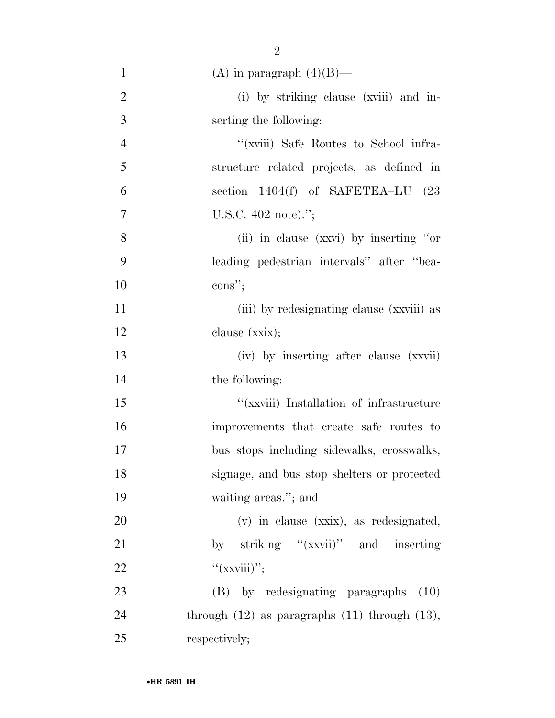| $\mathbf{1}$   | (A) in paragraph $(4)(B)$ —                          |
|----------------|------------------------------------------------------|
| $\overline{2}$ | (i) by striking clause (xviii) and in-               |
| 3              | serting the following:                               |
| $\overline{4}$ | "(xviii) Safe Routes to School infra-                |
| 5              | structure related projects, as defined in            |
| 6              | section 1404(f) of SAFETEA-LU (23                    |
| $\tau$         | U.S.C. $402$ note).";                                |
| 8              | (ii) in clause (xxvi) by inserting "or               |
| 9              | leading pedestrian intervals" after "bea-            |
| 10             | $\cos$ ";                                            |
| 11             | (iii) by redesignating clause (xxviii) as            |
| 12             | clause (xxix);                                       |
| 13             | (iv) by inserting after clause (xxvii)               |
| 14             | the following:                                       |
| 15             | "(xxviii) Installation of infrastructure             |
| 16             | improvements that create safe routes to              |
| 17             | bus stops including sidewalks, crosswalks,           |
| 18             | signage, and bus stop shelters or protected          |
| 19             | waiting areas."; and                                 |
| 20             | (v) in clause (xxix), as redesignated,               |
| 21             | by striking "(xxvii)" and inserting                  |
| 22             | " $(xxviii)$ ";                                      |
| 23             | (B) by redesignating paragraphs<br>(10)              |
| 24             | through $(12)$ as paragraphs $(11)$ through $(13)$ , |
| 25             | respectively;                                        |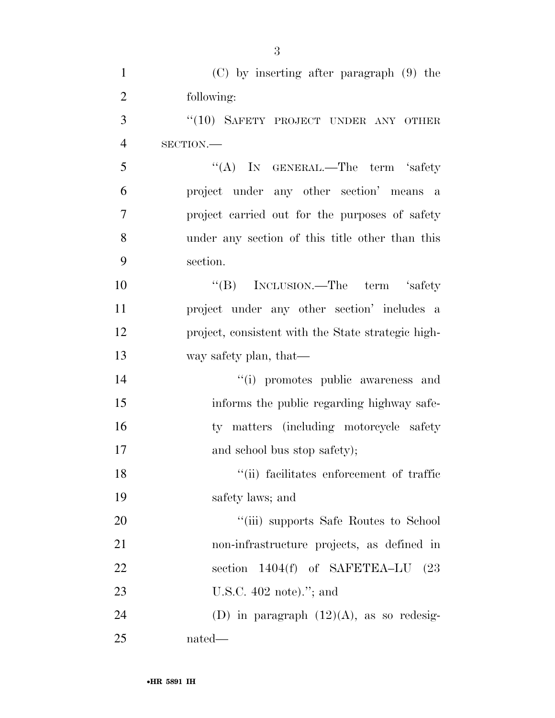| $\mathbf{1}$   | $(C)$ by inserting after paragraph $(9)$ the           |
|----------------|--------------------------------------------------------|
| $\overline{2}$ | following:                                             |
| 3              | "(10) SAFETY PROJECT UNDER ANY OTHER                   |
| $\overline{4}$ | SECTION.                                               |
| 5              | "(A) IN GENERAL.—The term 'safety                      |
| 6              | project under any other section' means<br><sub>a</sub> |
| 7              | project carried out for the purposes of safety         |
| 8              | under any section of this title other than this        |
| 9              | section.                                               |
| 10             | "(B) INCLUSION.—The term 'safety                       |
| 11             | project under any other section' includes a            |
| 12             | project, consistent with the State strategic high-     |
| 13             | way safety plan, that—                                 |
| 14             | "(i) promotes public awareness and                     |
| 15             | informs the public regarding highway safe-             |
| 16             | ty matters (including motorcycle safety                |
| 17             | and school bus stop safety);                           |
| 18             | "(ii) facilitates enforcement of traffic               |
| 19             | safety laws; and                                       |
| 20             | "(iii) supports Safe Routes to School                  |
| 21             | non-infrastructure projects, as defined in             |
| 22             | section $1404(f)$ of SAFETEA-LU $(23$                  |
| 23             | U.S.C. $402$ note)."; and                              |
| 24             | (D) in paragraph $(12)(A)$ , as so redesig-            |
| 25             | nated—                                                 |

3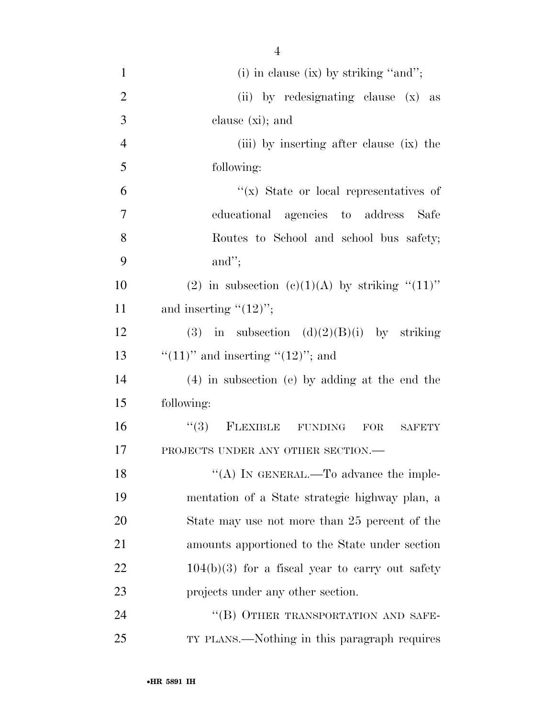| $\mathbf{1}$   | $(i)$ in clause $(ix)$ by striking "and";          |
|----------------|----------------------------------------------------|
| $\overline{2}$ | (ii) by redesignating clause (x) as                |
| 3              | clause $(xi)$ ; and                                |
| $\overline{4}$ | (iii) by inserting after clause (ix) the           |
| 5              | following:                                         |
| 6              | "(x) State or local representatives of             |
| 7              | educational agencies to address Safe               |
| 8              | Routes to School and school bus safety;            |
| 9              | and";                                              |
| 10             | (2) in subsection (c)(1)(A) by striking " $(11)$ " |
| 11             | and inserting $"(12)"$ ;                           |
| 12             | (3) in subsection $(d)(2)(B)(i)$ by striking       |
| 13             | "(11)" and inserting "(12)"; and                   |
| 14             | $(4)$ in subsection (e) by adding at the end the   |
| 15             | following:                                         |
| 16             | $(3)$ FLEXIBLE FUNDING<br>FOR<br><b>SAFETY</b>     |
| 17             | PROJECTS UNDER ANY OTHER SECTION.-                 |
| 18             | "(A) IN GENERAL.—To advance the imple-             |
| 19             | mentation of a State strategic highway plan, a     |
| 20             | State may use not more than 25 percent of the      |
| 21             | amounts apportioned to the State under section     |
| 22             | $104(b)(3)$ for a fiscal year to carry out safety  |
| 23             | projects under any other section.                  |
| 24             | "(B) OTHER TRANSPORTATION AND SAFE-                |
| 25             | TY PLANS.—Nothing in this paragraph requires       |